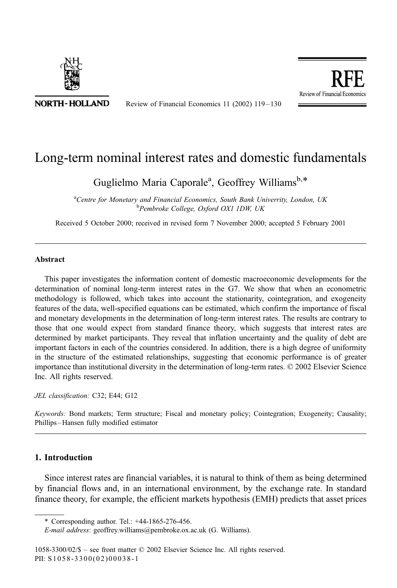

Review of Financial Economics 11 (2002) 119-130

## **NORTH-HOLLAND**

## Long-term nominal interest rates and domestic fundamentals

Guglielmo Maria Caporale<sup>a</sup>, Geoffrey Williams<sup>b,\*</sup>

<sup>a</sup> Centre for Monetary and Financial Economics, South Bank Univerrity, London, UK<br>b Pambroke College, Oxford OVLIDW UK <sup>b</sup>Pembroke College, Oxford OX1 1DW, UK

Received 5 October 2000; received in revised form 7 November 2000; accepted 5 February 2001

#### Abstract

This paper investigates the information content of domestic macroeconomic developments for the determination of nominal long-term interest rates in the G7. We show that when an econometric methodology is followed, which takes into account the stationarity, cointegration, and exogeneity features of the data, well-specified equations can be estimated, which confirm the importance of fiscal and monetary developments in the determination of long-term interest rates. The results are contrary to those that one would expect from standard finance theory, which suggests that interest rates are determined by market participants. They reveal that inflation uncertainty and the quality of debt are important factors in each of the countries considered. In addition, there is a high degree of uniformity in the structure of the estimated relationships, suggesting that economic performance is of greater importance than institutional diversity in the determination of long-term rates.  $\oslash$  2002 Elsevier Science Inc. All rights reserved.

JEL classification: C32; E44; G12

Keywords: Bond markets; Term structure; Fiscal and monetary policy; Cointegration; Exogeneity; Causality; Phillips –Hansen fully modified estimator

### 1. Introduction

Since interest rates are financial variables, it is natural to think of them as being determined by financial flows and, in an international environment, by the exchange rate. In standard finance theory, for example, the efficient markets hypothesis (EMH) predicts that asset prices

<sup>\*</sup> Corresponding author. Tel.: +44-1865-276-456.

E-mail address: geoffrey.williams@pembroke.ox.ac.uk (G. Williams).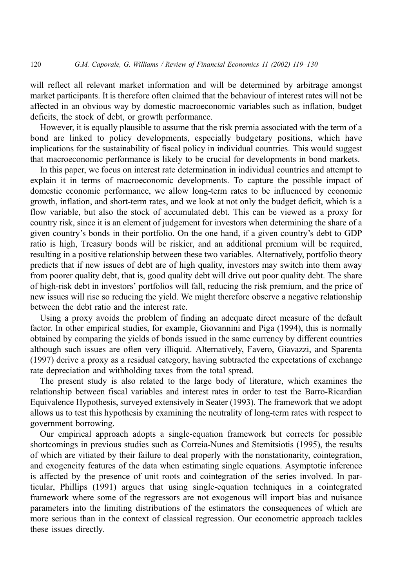will reflect all relevant market information and will be determined by arbitrage amongst market participants. It is therefore often claimed that the behaviour of interest rates will not be affected in an obvious way by domestic macroeconomic variables such as inflation, budget deficits, the stock of debt, or growth performance.

However, it is equally plausible to assume that the risk premia associated with the term of a bond are linked to policy developments, especially budgetary positions, which have implications for the sustainability of fiscal policy in individual countries. This would suggest that macroeconomic performance is likely to be crucial for developments in bond markets.

In this paper, we focus on interest rate determination in individual countries and attempt to explain it in terms of macroeconomic developments. To capture the possible impact of domestic economic performance, we allow long-term rates to be influenced by economic growth, inflation, and short-term rates, and we look at not only the budget deficit, which is a flow variable, but also the stock of accumulated debt. This can be viewed as a proxy for country risk, since it is an element of judgement for investors when determining the share of a given country's bonds in their portfolio. On the one hand, if a given country's debt to GDP ratio is high, Treasury bonds will be riskier, and an additional premium will be required, resulting in a positive relationship between these two variables. Alternatively, portfolio theory predicts that if new issues of debt are of high quality, investors may switch into them away from poorer quality debt, that is, good quality debt will drive out poor quality debt. The share of high-risk debt in investors' portfolios will fall, reducing the risk premium, and the price of new issues will rise so reducing the yield. We might therefore observe a negative relationship between the debt ratio and the interest rate.

Using a proxy avoids the problem of finding an adequate direct measure of the default factor. In other empirical studies, for example, Giovannini and Piga (1994), this is normally obtained by comparing the yields of bonds issued in the same currency by different countries although such issues are often very illiquid. Alternatively, Favero, Giavazzi, and Sparenta (1997) derive a proxy as a residual category, having subtracted the expectations of exchange rate depreciation and withholding taxes from the total spread.

The present study is also related to the large body of literature, which examines the relationship between fiscal variables and interest rates in order to test the Barro-Ricardian Equivalence Hypothesis, surveyed extensively in Seater (1993). The framework that we adopt allows us to test this hypothesis by examining the neutrality of long-term rates with respect to government borrowing.

Our empirical approach adopts a single-equation framework but corrects for possible shortcomings in previous studies such as Correia-Nunes and Stemitsiotis (1995), the results of which are vitiated by their failure to deal properly with the nonstationarity, cointegration, and exogeneity features of the data when estimating single equations. Asymptotic inference is affected by the presence of unit roots and cointegration of the series involved. In particular, Phillips (1991) argues that using single-equation techniques in a cointegrated framework where some of the regressors are not exogenous will import bias and nuisance parameters into the limiting distributions of the estimators the consequences of which are more serious than in the context of classical regression. Our econometric approach tackles these issues directly.